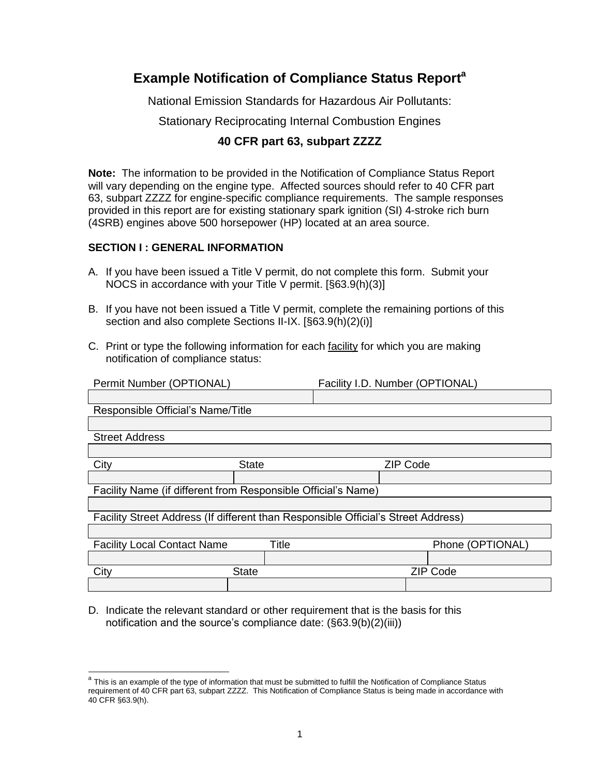# **Example Notification of Compliance Status Report<sup>a</sup>**

National Emission Standards for Hazardous Air Pollutants:

Stationary Reciprocating Internal Combustion Engines

## **40 CFR part 63, subpart ZZZZ**

**Note:** The information to be provided in the Notification of Compliance Status Report will vary depending on the engine type. Affected sources should refer to 40 CFR part 63, subpart ZZZZ for engine-specific compliance requirements. The sample responses provided in this report are for existing stationary spark ignition (SI) 4-stroke rich burn (4SRB) engines above 500 horsepower (HP) located at an area source.

## **SECTION I : GENERAL INFORMATION**

 $\overline{a}$ 

- A. If you have been issued a Title V permit, do not complete this form. Submit your NOCS in accordance with your Title V permit. [§63.9(h)(3)]
- B. If you have not been issued a Title V permit, complete the remaining portions of this section and also complete Sections II-IX. [§63.9(h)(2)(i)]
- C. Print or type the following information for each facility for which you are making notification of compliance status:

| Permit Number (OPTIONAL)                                                          | Facility I.D. Number (OPTIONAL) |  |                 |                  |
|-----------------------------------------------------------------------------------|---------------------------------|--|-----------------|------------------|
|                                                                                   |                                 |  |                 |                  |
| Responsible Official's Name/Title                                                 |                                 |  |                 |                  |
|                                                                                   |                                 |  |                 |                  |
| <b>Street Address</b>                                                             |                                 |  |                 |                  |
|                                                                                   |                                 |  |                 |                  |
| City                                                                              | <b>State</b>                    |  | <b>ZIP Code</b> |                  |
|                                                                                   |                                 |  |                 |                  |
| Facility Name (if different from Responsible Official's Name)                     |                                 |  |                 |                  |
|                                                                                   |                                 |  |                 |                  |
| Facility Street Address (If different than Responsible Official's Street Address) |                                 |  |                 |                  |
|                                                                                   |                                 |  |                 |                  |
| <b>Facility Local Contact Name</b>                                                | Title                           |  |                 | Phone (OPTIONAL) |
|                                                                                   |                                 |  |                 |                  |
| City                                                                              | <b>State</b>                    |  |                 | <b>ZIP Code</b>  |
|                                                                                   |                                 |  |                 |                  |

D. Indicate the relevant standard or other requirement that is the basis for this notification and the source's compliance date: (§63.9(b)(2)(iii))

<sup>&</sup>lt;sup>a</sup> This is an example of the type of information that must be submitted to fulfill the Notification of Compliance Status requirement of 40 CFR part 63, subpart ZZZZ. This Notification of Compliance Status is being made in accordance with 40 CFR §63.9(h).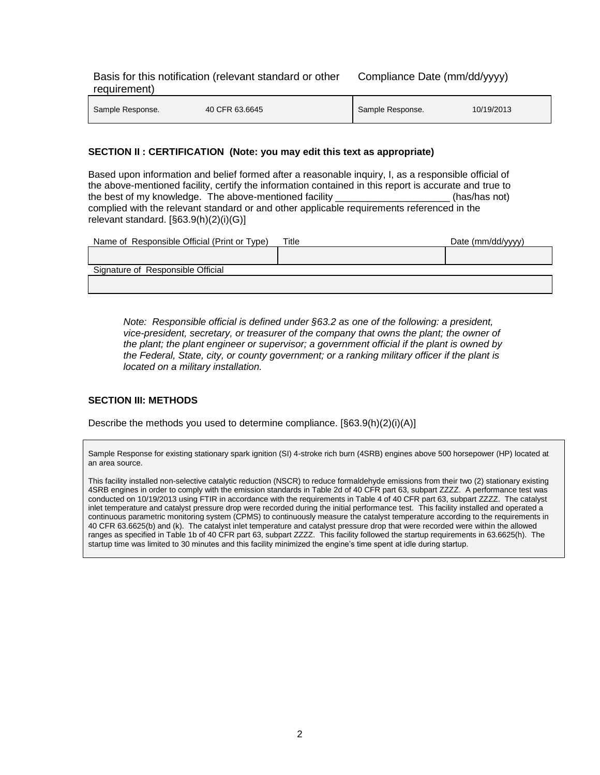Basis for this notification (relevant standard or other requirement) Compliance Date (mm/dd/yyyy)

| Sample Response. | 40 CFR 63.6645 | Sample Response. | 10/19/2013 |
|------------------|----------------|------------------|------------|
|                  |                |                  |            |

#### **SECTION II : CERTIFICATION (Note: you may edit this text as appropriate)**

Based upon information and belief formed after a reasonable inquiry, I, as a responsible official of the above-mentioned facility, certify the information contained in this report is accurate and true to the best of my knowledge. The above-mentioned facility entity and the set of my knowledge. complied with the relevant standard or and other applicable requirements referenced in the relevant standard. [§63.9(h)(2)(i)(G)]

| Name of Responsible Official (Print or Type) | Title | Date (mm/dd/yyyy) |
|----------------------------------------------|-------|-------------------|
|                                              |       |                   |
| Signature of Responsible Official            |       |                   |
|                                              |       |                   |

*Note: Responsible official is defined under §63.2 as one of the following: a president, vice-president, secretary, or treasurer of the company that owns the plant; the owner of the plant; the plant engineer or supervisor; a government official if the plant is owned by the Federal, State, city, or county government; or a ranking military officer if the plant is located on a military installation.*

## **SECTION III: METHODS**

Describe the methods you used to determine compliance.  $[\S 63.9(h)(2)(i)(A)]$ 

Sample Response for existing stationary spark ignition (SI) 4-stroke rich burn (4SRB) engines above 500 horsepower (HP) located at an area source.

This facility installed non-selective catalytic reduction (NSCR) to reduce formaldehyde emissions from their two (2) stationary existing 4SRB engines in order to comply with the emission standards in Table 2d of 40 CFR part 63, subpart ZZZZ. A performance test was conducted on 10/19/2013 using FTIR in accordance with the requirements in Table 4 of 40 CFR part 63, subpart ZZZZ. The catalyst inlet temperature and catalyst pressure drop were recorded during the initial performance test. This facility installed and operated a continuous parametric monitoring system (CPMS) to continuously measure the catalyst temperature according to the requirements in 40 CFR 63.6625(b) and (k). The catalyst inlet temperature and catalyst pressure drop that were recorded were within the allowed ranges as specified in Table 1b of 40 CFR part 63, subpart ZZZZ. This facility followed the startup requirements in 63.6625(h). The startup time was limited to 30 minutes and this facility minimized the engine's time spent at idle during startup.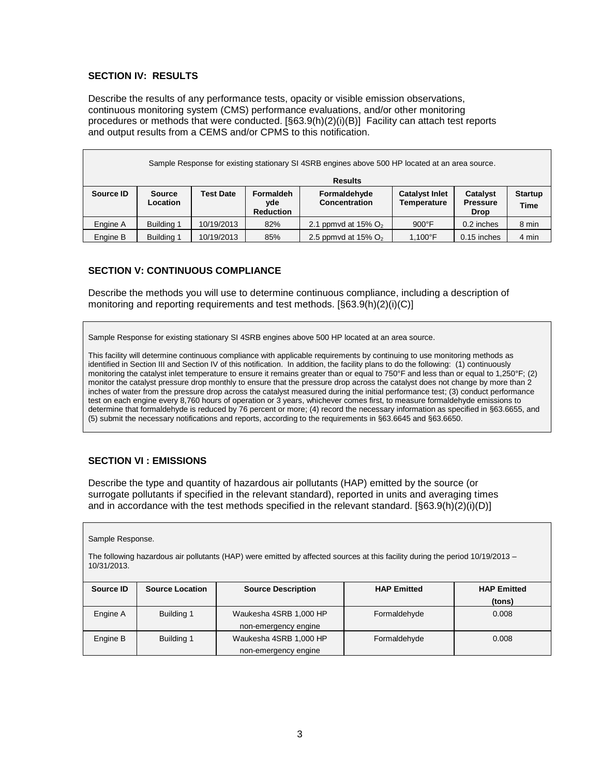## **SECTION IV: RESULTS**

Describe the results of any performance tests, opacity or visible emission observations, continuous monitoring system (CMS) performance evaluations, and/or other monitoring procedures or methods that were conducted. [§63.9(h)(2)(i)(B)] Facility can attach test reports and output results from a CEMS and/or CPMS to this notification.

| Sample Response for existing stationary SI 4SRB engines above 500 HP located at an area source. |                           |                  |                                      |                               |                                             |                                            |                               |
|-------------------------------------------------------------------------------------------------|---------------------------|------------------|--------------------------------------|-------------------------------|---------------------------------------------|--------------------------------------------|-------------------------------|
| <b>Results</b>                                                                                  |                           |                  |                                      |                               |                                             |                                            |                               |
| Source ID                                                                                       | <b>Source</b><br>Location | <b>Test Date</b> | Formaldeh<br>yde<br><b>Reduction</b> | Formaldehyde<br>Concentration | <b>Catalyst Inlet</b><br><b>Temperature</b> | Catalyst<br><b>Pressure</b><br><b>Drop</b> | <b>Startup</b><br><b>Time</b> |
| Engine A                                                                                        | <b>Building 1</b>         | 10/19/2013       | 82%                                  | 2.1 ppmvd at 15% $O2$         | $900^{\circ}$ F                             | 0.2 inches                                 | 8 min                         |
| Engine B                                                                                        | Building 1                | 10/19/2013       | 85%                                  | 2.5 ppmvd at 15% $O2$         | 1,100°F                                     | 0.15 inches                                | 4 min                         |

### **SECTION V: CONTINUOUS COMPLIANCE**

Describe the methods you will use to determine continuous compliance, including a description of monitoring and reporting requirements and test methods. [§63.9(h)(2)(i)(C)]

Sample Response for existing stationary SI 4SRB engines above 500 HP located at an area source.

This facility will determine continuous compliance with applicable requirements by continuing to use monitoring methods as identified in Section III and Section IV of this notification. In addition, the facility plans to do the following: (1) continuously monitoring the catalyst inlet temperature to ensure it remains greater than or equal to 750°F and less than or equal to 1,250°F; (2) monitor the catalyst pressure drop monthly to ensure that the pressure drop across the catalyst does not change by more than 2 inches of water from the pressure drop across the catalyst measured during the initial performance test; (3) conduct performance test on each engine every 8,760 hours of operation or 3 years, whichever comes first, to measure formaldehyde emissions to determine that formaldehyde is reduced by 76 percent or more; (4) record the necessary information as specified in §63.6655, and (5) submit the necessary notifications and reports, according to the requirements in §63.6645 and §63.6650.

#### **SECTION VI : EMISSIONS**

Describe the type and quantity of hazardous air pollutants (HAP) emitted by the source (or surrogate pollutants if specified in the relevant standard), reported in units and averaging times and in accordance with the test methods specified in the relevant standard.  $[\S 63.9(h)(2)(i)(D)]$ 

| Sample Response.                                                                                                                             |                        |                           |                    |                    |  |  |
|----------------------------------------------------------------------------------------------------------------------------------------------|------------------------|---------------------------|--------------------|--------------------|--|--|
| The following hazardous air pollutants (HAP) were emitted by affected sources at this facility during the period 10/19/2013 –<br>10/31/2013. |                        |                           |                    |                    |  |  |
| Source ID                                                                                                                                    | <b>Source Location</b> | <b>Source Description</b> | <b>HAP Emitted</b> | <b>HAP Emitted</b> |  |  |
|                                                                                                                                              |                        |                           |                    | (tons)             |  |  |
| Engine A                                                                                                                                     | Building 1             | Waukesha 4SRB 1,000 HP    | Formaldehyde       | 0.008              |  |  |
|                                                                                                                                              |                        | non-emergency engine      |                    |                    |  |  |
| Engine B                                                                                                                                     | Building 1             | Waukesha 4SRB 1,000 HP    | Formaldehyde       | 0.008              |  |  |
|                                                                                                                                              |                        | non-emergency engine      |                    |                    |  |  |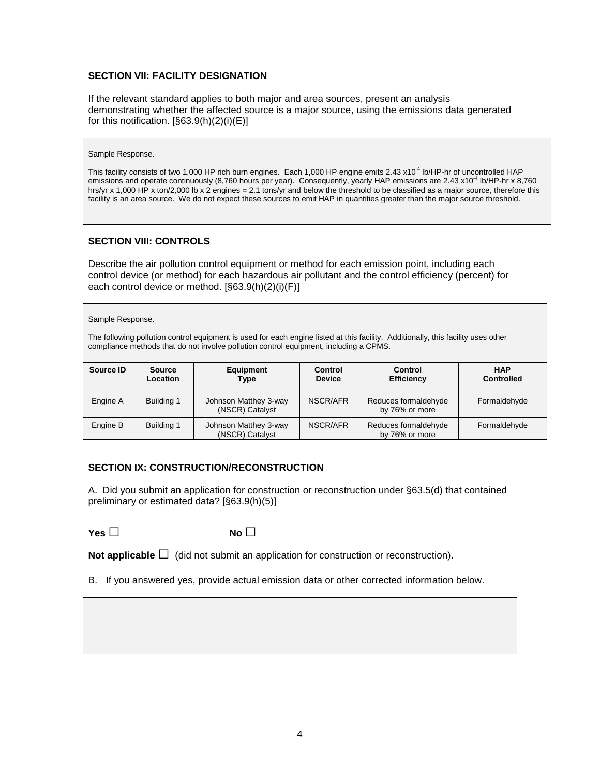## **SECTION VII: FACILITY DESIGNATION**

If the relevant standard applies to both major and area sources, present an analysis demonstrating whether the affected source is a major source, using the emissions data generated for this notification. [§63.9(h)(2)(i)(E)]

#### Sample Response.

This facility consists of two 1,000 HP rich burn engines. Each 1,000 HP engine emits 2.43 x10<sup>-4</sup> lb/HP-hr of uncontrolled HAP emissions and operate continuously (8,760 hours per year). Consequently, yearly HAP emissions are 2.43 x10<sup>-4</sup> lb/HP-hr x 8,760 hrs/yr x 1,000 HP x ton/2,000 lb x 2 engines = 2.1 tons/yr and below the threshold to be classified as a major source, therefore this facility is an area source. We do not expect these sources to emit HAP in quantities greater than the major source threshold.

## **SECTION VIII: CONTROLS**

Describe the air pollution control equipment or method for each emission point, including each control device (or method) for each hazardous air pollutant and the control efficiency (percent) for each control device or method. [§63.9(h)(2)(i)(F)]

#### Sample Response.

The following pollution control equipment is used for each engine listed at this facility. Additionally, this facility uses other compliance methods that do not involve pollution control equipment, including a CPMS.

| Source ID | <b>Source</b><br>Location | Equipment<br>Type                        | <b>Control</b><br><b>Device</b> | <b>Control</b><br><b>Efficiency</b>    | <b>HAP</b><br><b>Controlled</b> |
|-----------|---------------------------|------------------------------------------|---------------------------------|----------------------------------------|---------------------------------|
| Engine A  | Building 1                | Johnson Matthey 3-way<br>(NSCR) Catalyst | NSCR/AFR                        | Reduces formaldehyde<br>by 76% or more | Formaldehyde                    |
| Engine B  | Building 1                | Johnson Matthey 3-way<br>(NSCR) Catalyst | NSCR/AFR                        | Reduces formaldehyde<br>by 76% or more | Formaldehyde                    |

## **SECTION IX: CONSTRUCTION/RECONSTRUCTION**

A. Did you submit an application for construction or reconstruction under §63.5(d) that contained preliminary or estimated data? [§63.9(h)(5)]

**Yes □ No □**

**Not applicable**  $\Box$  (did not submit an application for construction or reconstruction).

B. If you answered yes, provide actual emission data or other corrected information below.